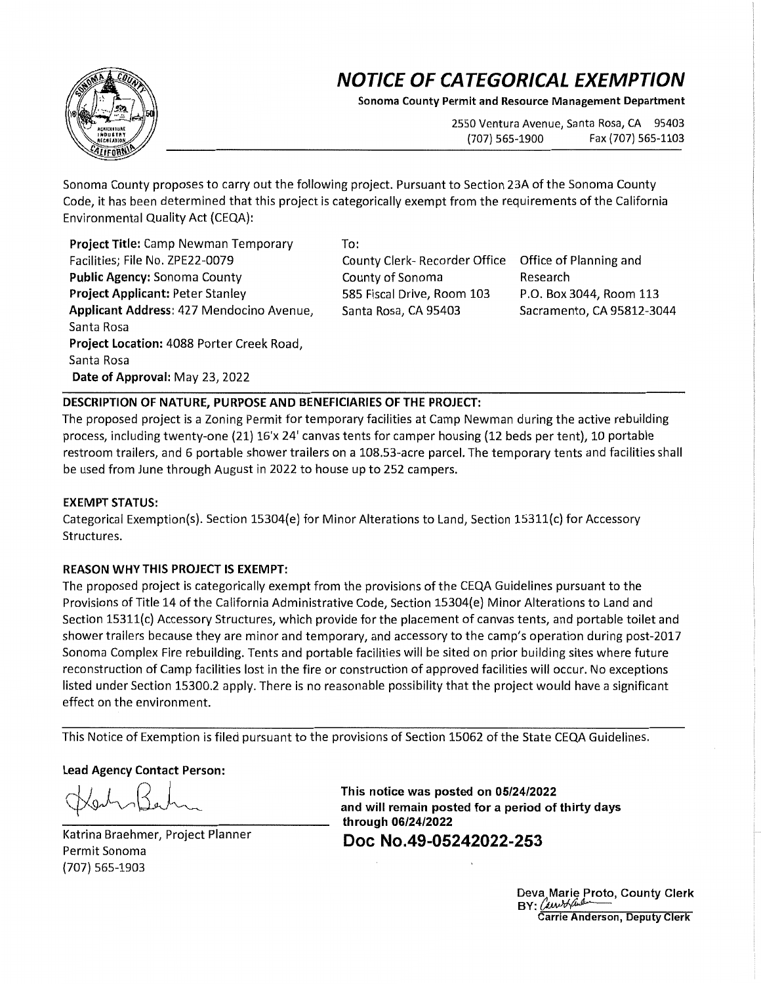# **NOTICE OF CATEGORICAL EXEMPTION**

**Sonoma County Permit and Resource Management Department** 

2550 Ventura Avenue, Santa Rosa, CA 95403 (707) 565-1900 Fax (707) 565-1103

Sonoma County proposes to carry out the following project. Pursuant to Section 23A of the Sonoma County Code, it has been determined that this project is categorically exempt from the requirements of the California Environmental Quality Act {CEQA}:

**Project Title:** Camp Newman Temporary Facilities; File No. ZPE22-0079 **Public Agency:** Sonoma County **Project Applicant:** Peter Stanley **Applicant Address:** 427 Mendocino Avenue, Santa Rosa **Project Location:** 4088 Porter Creek Road, Santa Rosa **Date of Approval:** May 23, 2022

To:

County Clerk- Recorder Office Office of Planning and County of Sonoma 585 Fiscal Drive, Room 103 Santa Rosa, CA 95403

Research P.O. Box 3044, Room 113 Sacramento, CA 95812-3044

## **DESCRIPTION OF NATURE, PURPOSE AND BENEFICIARIES OF THE PROJECT:**

The proposed project is a Zoning Permit for temporary facilities at Camp Newman during the active rebuilding process, including twenty-one {21} 16'x 24' canvas tents for camper housing (12 beds per tent}, 10 portable restroom trailers, and 6 portable shower trailers on a 108.53-acre parcel. The temporary tents and facilities shall be used from June through August in 2022 to house up to 252 campers.

## **EXEMPT STATUS:**

Categorical Exemption{s}. Section 15304{e} for Minor Alterations to Land, Section 15311{c} for Accessory Structures.

## **REASON WHY THIS PROJECT IS EXEMPT:**

The proposed project is categorically exempt from the provisions of the CEQA Guidelines pursuant to the Provisions of Title 14 of the California Administrative Code, Section 15304{e} Minor Alterations to Land and Section 15311{c} Accessory Structures, which provide for the placement of canvas tents, and portable toilet and shower trailers because they are minor and temporary, and accessory to the camp's operation during post-2017 Sonoma Complex Fire rebuilding. Tents and portable facilities will be sited on prior building sites where future reconstruction of Camp facilities lost in the fire or construction of approved facilities will occur. No exceptions listed under Section 15300.2 apply. There is no reasonable possibility that the project would have a significant effect on the environment.

This Notice of Exemption is filed pursuant to the provisions of Section 15062 of the State CEQA Guidelines.

### **Lead Agency Contact Person:**

Kerthon Barton

Katrina Braehmer, Project Planner Permit Sonoma {707} 565-1903

**This notice was posted on 05/24/2022 and will remain posted for a period of thirty days through 06/24/2022 Doc No.49-05242022-253** 

> Deva Marie Proto, County Clerk  $BY:$  Carried than arrie Anderson, Deputy Clerk